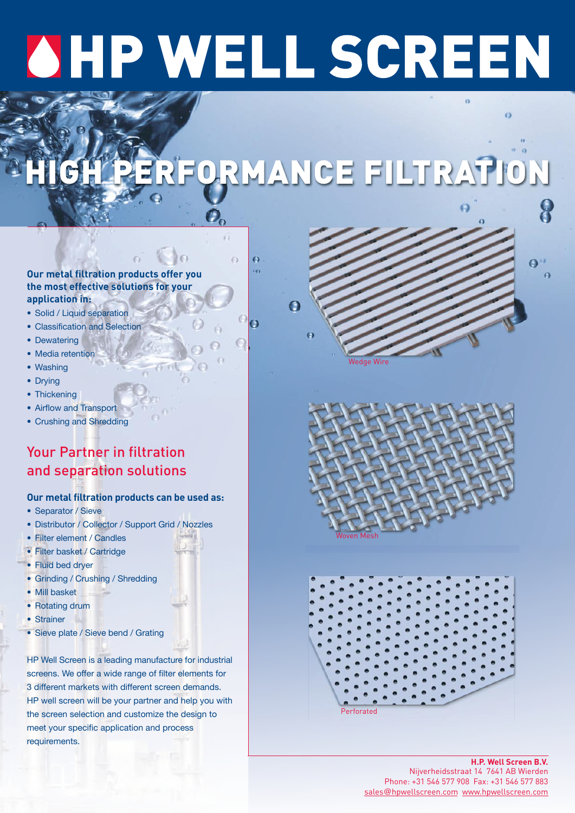# **OHP WELL SCREEN**

# **HIGH PERFORMANCE FILTRATION**



 $\ddot{\mathbf{e}}$ 

 $\overline{161}$ 

 $\Omega$ 

# **Our metal filtration products offer you the most effective solutions for your application in:**

- Solid / Liquid separation
- Classification and Selection
- Dewatering
- Media retention
- Washing
- Drying
- Thickening
- Airflow and Transport
- Crushing and Shredding

# Your Partner in filtration and separation solutions

# **Our metal filtration products can be used as:**

- Separator / Sieve
- Distributor / Collector / Support Grid / Nozzles
- Filter element / Candles
- Filter basket / Cartridge
- Fluid bed dryer
- Grinding / Crushing / Shredding
- Mill basket
- Rotating drum
- Strainer
- Sieve plate / Sieve bend / Grating

HP Well Screen is a leading manufacture for industrial screens. We offer a wide range of filter elements for 3 different markets with different screen demands. HP well screen will be your partner and help you with the screen selection and customize the design to meet your specific application and process requirements.







**H.P. Well Screen B.V.** Nijverheidsstraat 14 7641 AB Wierden Phone: +31 546 577 908 Fax: +31 546 577 883 sales@hpwellscreen.com www.hpwellscreen.com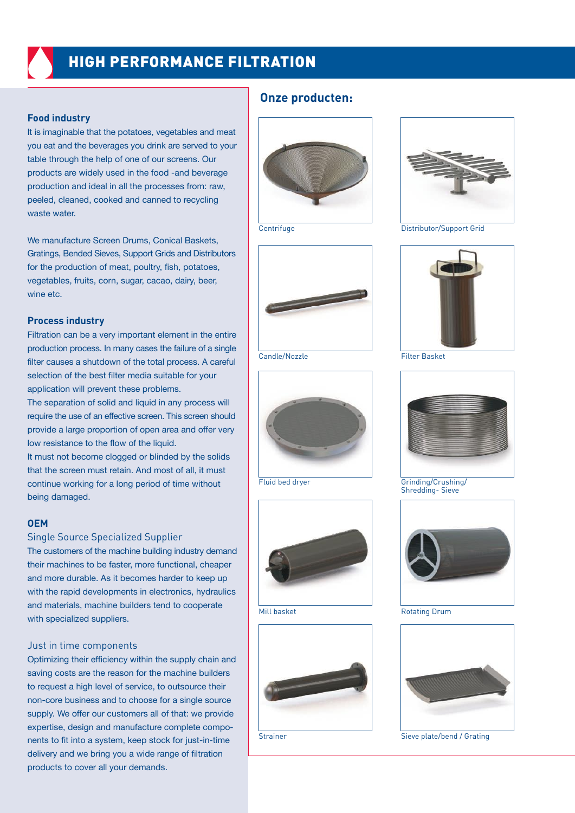# **HIGH PERFORMANCE FILTRATION**

# **Food industry**

It is imaginable that the potatoes, vegetables and meat you eat and the beverages you drink are served to your table through the help of one of our screens. Our products are widely used in the food -and beverage production and ideal in all the processes from: raw, peeled, cleaned, cooked and canned to recycling waste water.

We manufacture Screen Drums, Conical Baskets, Gratings, Bended Sieves, Support Grids and Distributors for the production of meat, poultry, fish, potatoes, vegetables, fruits, corn, sugar, cacao, dairy, beer, wine etc.

# **Process industry**

Filtration can be a very important element in the entire production process. In many cases the failure of a single filter causes a shutdown of the total process. A careful selection of the best filter media suitable for your application will prevent these problems.

The separation of solid and liquid in any process will require the use of an effective screen. This screen should provide a large proportion of open area and offer very low resistance to the flow of the liquid.

It must not become clogged or blinded by the solids that the screen must retain. And most of all, it must continue working for a long period of time without being damaged.

# **OEM**

# Single Source Specialized Supplier

The customers of the machine building industry demand their machines to be faster, more functional, cheaper and more durable. As it becomes harder to keep up with the rapid developments in electronics, hydraulics and materials, machine builders tend to cooperate with specialized suppliers.

# Just in time components

Optimizing their efficiency within the supply chain and saving costs are the reason for the machine builders to request a high level of service, to outsource their non-core business and to choose for a single source supply. We offer our customers all of that: we provide expertise, design and manufacture complete components to fit into a system, keep stock for just-in-time delivery and we bring you a wide range of filtration products to cover all your demands.

# **Onze producten:**





Candle/Nozzle Filter Basket









Centrifuge Distributor/Support Grid





Fluid bed dryer Grinding/Crushing/ Shredding- Sieve



Mill basket **Rotating Drum** 



Strainer Strainer Sieve plate/bend / Grating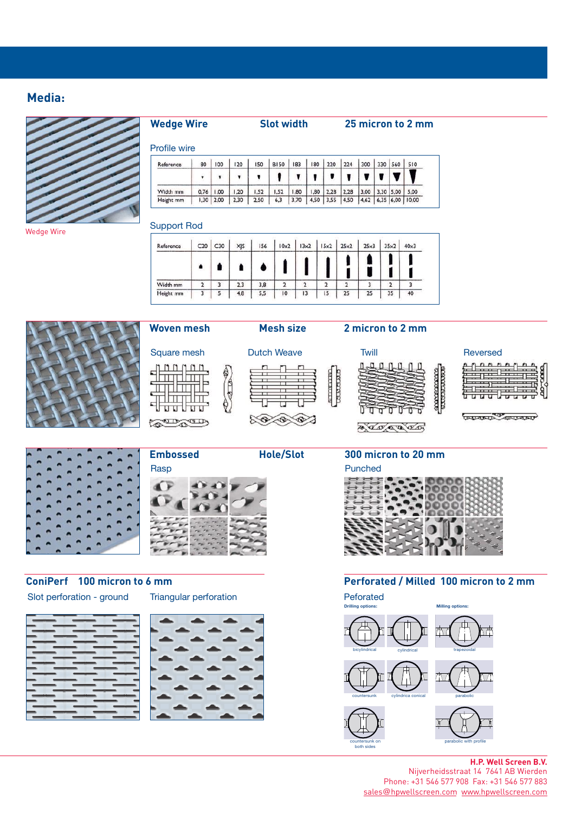# **Media:**

Wedge Wire



**Wedge Wire Slot width 25 micron to 2 mm**

# Profile wire

| Reference | 80       | 100  | 20   | 150  | <b>B150</b> | 183  | 180  | 220         | 224  | 300  | 330       | 560 | 510                  |
|-----------|----------|------|------|------|-------------|------|------|-------------|------|------|-----------|-----|----------------------|
|           |          |      |      |      |             |      |      |             |      |      |           |     |                      |
| Width mm  | 0.76     | 1.00 | , 20 | ,52  | 1.52        | ,80  | 1,80 | 2,28        | 2,28 | 3,00 | 3,30 5,00 |     | 5.00                 |
| Height mm | $1,30$ . | 2,00 | 2,30 | 2,50 | 6,3         | 3,70 |      | $4,50$ 3,55 | 4,50 |      |           |     | 4,62 6,35 6,00 10,00 |

# Support Rod

 $nnnnn$ 

Filip Filip

प्रतिप्राप्त

mт  $\overline{u}$ 

**COLOR COD** 

dш

lhuu

Π

è

 $\pi$ 

8000

☜

| Reference | C20 | C30 | XJS | 156 | 10x2 | 13x2           | 15x2 | 25x2 | 25x3 | 35x2 | $40\times3$ |
|-----------|-----|-----|-----|-----|------|----------------|------|------|------|------|-------------|
|           |     |     |     |     |      |                |      |      |      |      |             |
| Width mm  | 2   |     | 2,3 | 3,8 |      | $\overline{2}$ | 2    | э    |      | 2    |             |
| Height mm | 3   | 5   | 4,8 | 5,5 | 10   | 3              | 15   | 25   | 25   | 35   | 40          |







# **ConiPerf 100 micron to 6 mm**



Slot perforation - ground Triangular perforation



# **Woven mesh Mesh size 2 micron to 2 mm**

## Square mesh Dutch Weave Twill Twill Reversed  $\overline{a}$  $0<sub>n</sub>$ **annoncon**<br>Tutti 'n п п П ñ

ananan<br>Utataan

**THE REAL PROPERTY** 

<u> a da a da</u>



# **Perforated / Milled 100 micron to 2 mm**

Peforated



# **H.P. Well Screen B.V.**

Nijverheidsstraat 14 7641 AB Wierden Phone: +31 546 577 908 Fax: +31 546 577 883 sales@hpwellscreen.com www.hpwellscreen.com